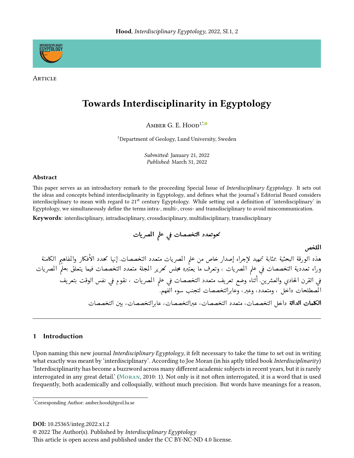

ARTICLE

# **Towards Interdisciplinarity in Egyptology**

AMBER G E  $H$ <sub>00</sub> $1$ <sup>\*</sup>,

<sup>1</sup>Department of Geology, Lund University, Sweden

Submitted: January 21, 2022 Published: March 31, 2022

#### **Abstract**

This paper serves as an introductory remark to the proceeding Special Issue of Interdisciplinary Egyptology. It sets out the ideas and concepts behind interdisciplinarity in Egyptology, and defines what the journal's Editorial Board considers interdisciplinary to mean with regard to 21<sup>st</sup> century Egyptology. While setting out a definition of 'interdisciplinary' in Egyptology, we simultaneously define the terms intra-, multi-, cross- and transdisciplinary to avoid miscommunication.

**Keywords:** interdisciplinary, intradisciplinary, crossdisciplinary, multidisciplinary, transdisciplinary

الملخص

هذه الورقة البحثية بمثابة تمهيد لإجراء إصدار خاص من علم المصريات متعدد التخصصات إنها تحدد الأفكار والمفاهيم الكامنة وراء تعددية التخصصات في علم المصريات ، وتعرف ما يعتْبره محلس تحرير المجلة متعدد التخصصات فيما يتعلق بعلم المصريات في القرن الحادي والعشرين. أثناء وضع تعريف متعدد التخصصات في علم المصريات ، نقوم في نفس الوقت بتعريف ب<br>المصطلحات داخل ، ومتعدد، وعبر، وعابرالتخصصات لتجنب سوء الفهم. **الكلمات الدالة** داخل التخصصات، متعدد التخصصات، عبرالتخصصات، عارالتخصصات، بين التخصصات

#### Introduction  $\mathbf{1}$

Upon naming this new journal *Interdisciplinary Egyptology*, it felt necessary to take the time to set out in writing what exactly was meant by 'interdisciplinary'. According to Joe Moran (in his aptly titled book Interdisciplinarity) 'Interdisciplinarity has become a buzzword across many different academic subjects in recent years, but it is rarely interrogated in any great detail.' (MORAN, 2010: 1). Not only is it not often interrogated, it is a word that is used frequently, both academically and colloquially, without much precision. But words have meanings for a reason,

DOI: 10.25365/integ.2022.x1.2

© 2022 The Author(s). Published by Interdisciplinary Egyptology

This article is open access and published under the CC BY-NC-ND 4.0 license.

Corresponding Author: amber.hood@geol.lu.se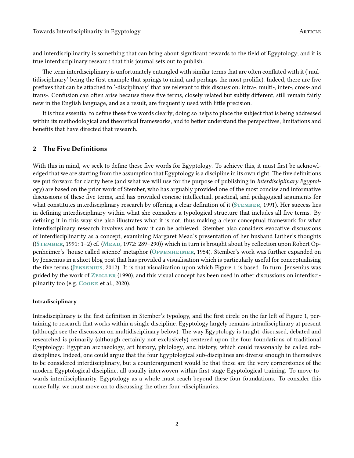and interdisciplinarity is something that can bring about significant rewards to the field of Egyptology; and it is true interdisciplinary research that this journal sets out to publish.

The term interdisciplinary is unfortunately entangled with similar terms that are often conflated with it ('multidisciplinary' being the first example that springs to mind, and perhaps the most prolific). Indeed, there are five prefixes that can be attached to '-disciplinary' that are relevant to this discussion: intra-, multi-, inter-, cross- and trans-. Confusion can often arise because these five terms, closely related but subtly different, still remain fairly new in the English language, and as a result, are frequently used with little precision.

It is thus essential to define these five words clearly; doing so helps to place the subject that is being addressed within its methodological and theoretical frameworks, and to better understand the perspectives, limitations and benefits that have directed that research.

### 2 The Five Definitions

With this in mind, we seek to define these five words for Egyptology. To achieve this, it must first be acknowledged that we are starting from the assumption that Egyptology is a discipline in its own right. The five definitions we put forward for clarity here (and what we will use for the purpose of publishing in Interdisciplinary Egyptology) are based on the prior work of Stember, who has arguably provided one of the most concise and informative discussions of these five terms, and has provided concise intellectual, practical, and pedagogical arguments for what constitutes interdisciplinary research by offering a clear definition of it (STEMBER, [1991\)](#page-4-1). Her success lies in defining interdisciplinary within what she considers a typological structure that includes all five terms. By defining it in this way she also illustrates what it is not, thus making a clear conceptual framework for what interdisciplinary research involves and how it can be achieved. Stember also considers evocative discussions of interdisciplinarity as a concept, examining Margaret Mead's presentation of her husband Luther's thoughts ((STEMBER, [1991:](#page-4-1) 1–2) cf. (MEAD, [1972:](#page-4-2) 289–290)) which in turn is brought about by reflection upon Robert Oppenheimer's 'house called science' metaphor (Oppenheimer, [1954\)](#page-4-3). Stember's work was further expanded on by Jensenius in a short blog post that has provided a visualisation which is particularly useful for conceptualising the five terms (Jensenius, [2012\)](#page-4-4). It is that visualization upon which Figure [1](#page-2-0) is based. In turn, Jensenius was guided by the work of  $\overline{Z_{EIGLER}}$  [\(1990\)](#page-4-5), and this visual concept has been used in other discussions on interdisci-plinarity too (e.g. COOKE et al., [2020\)](#page-4-6).

#### Intradisciplinary

Intradisciplinary is the first definition in Stember's typology, and the first circle on the far left of Figure 1, pertaining to research that works within a single discipline. Egyptology largely remains intradisciplinary at present (although see the discussion on multidisciplinary below). The way Egyptology is taught, discussed, debated and researched is primarily (although certainly not exclusively) centered upon the four foundations of traditional Egyptology: Egyptian archaeology, art history, philology, and history, which could reasonably be called subdisciplines. Indeed, one could argue that the four Egyptological sub-disciplines are diverse enough in themselves to be considered interdisciplinary, but a counterargument would be that these are the very cornerstones of the modern Egyptological discipline, all usually interwoven within first-stage Egyptological training. To move towards interdisciplinarity, Egyptology as a whole must reach beyond these four foundations. To consider this more fully, we must move on to discussing the other four -disciplinaries.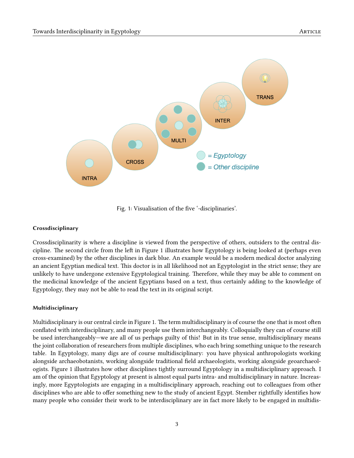

<span id="page-2-0"></span>Fig. 1: Visualisation of the five '-disciplinaries'.

#### Crossdisciplinary

Crossdisciplinarity is where a discipline is viewed from the perspective of others, outsiders to the central discipline. The second circle from the left in Figure 1 illustrates how Egyptology is being looked at (perhaps even cross-examined) by the other disciplines in dark blue. An example would be a modern medical doctor analyzing an ancient Egyptian medical text. This doctor is in all likelihood not an Egyptologist in the strict sense; they are unlikely to have undergone extensive Egyptological training. Therefore, while they may be able to comment on the medicinal knowledge of the ancient Egyptians based on a text, thus certainly adding to the knowledge of Egyptology, they may not be able to read the text in its original script.

#### Multidisciplinary

Multidisciplinary is our central circle in Figure 1. The term multidisciplinary is of course the one that is most often conflated with interdisciplinary, and many people use them interchangeably. Colloquially they can of course still be used interchangeably—we are all of us perhaps guilty of this! But in its true sense, multidisciplinary means the joint collaboration of researchers from multiple disciplines, who each bring something unique to the research table. In Egyptology, many digs are of course multidisciplinary: you have physical anthropologists working alongside archaeobotanists, working alongside traditional field archaeologists, working alongside geoarchaeologists. Figure 1 illustrates how other disciplines tightly surround Egyptology in a multidisciplinary approach. I am of the opinion that Egyptology at present is almost equal parts intra- and multidisciplinary in nature. Increasingly, more Egyptologists are engaging in a multidisciplinary approach, reaching out to colleagues from other disciplines who are able to offer something new to the study of ancient Egypt. Stember rightfully identifies how many people who consider their work to be interdisciplinary are in fact more likely to be engaged in multidis-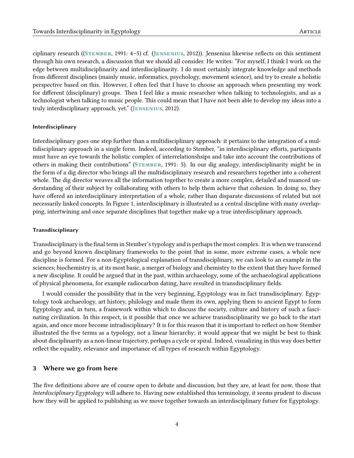ciplinary research ((Stember, [1991:](#page-4-1) 4–5) cf. (Jensenius, [2012\)](#page-4-4)). Jensenius likewise reflects on this sentiment through his own research, a discussion that we should all consider. He writes: "For myself, I think I work on the edge between multidisciplinarity and interdisciplinarity. I do most certainly integrate knowledge and methods from different disciplines (mainly music, informatics, psychology, movement science), and try to create a holistic perspective based on this. However, I often feel that I have to choose an approach when presenting my work for different (disciplinary) groups. Then I feel like a music researcher when talking to technologists, and as a technologist when talking to music people. This could mean that I have not been able to develop my ideas into a truly interdisciplinary approach, yet." (Jensenius, [2012\)](#page-4-4).

#### Interdisciplinary

Interdisciplinary goes one step further than a multidisciplinary approach: it pertains to the integration of a multidisciplinary approach in a single form. Indeed, according to Stember, "in interdisciplinary efforts, participants must have an eye towards the holistic complex of interrelationshsips and take into account the contributions of others in making their contributions" (Stember, [1991:](#page-4-1) 5). In our dig analogy, interdisciplinarity might be in the form of a dig director who brings all the multidisciplinary research and researchers together into a coherent whole. The dig director weaves all the information together to create a more complex, detailed and nuanced understanding of their subject by collaborating with others to help them achieve that cohesion. In doing so, they have offered an interdisciplinary interpretation of a whole, rather than disparate discussions of related but not necessarily linked concepts. In Figure 1, interdisciplinary is illustrated as a central discipline with many overlapping, intertwining and once separate disciplines that together make up a true interdisciplinary approach.

#### Transdisciplinary

Transdisciplinary is the final term in Stember's typology and is perhaps the most complex. It is when we transcend and go beyond known disciplinary frameworks to the point that in some, more extreme cases, a whole new discipline is formed. For a non-Egyptological explanation of transdisciplinary, we can look to an example in the sciences; biochemistry is, at its most basic, a merger of biology and chemistry to the extent that they have formed a new discipline. It could be argued that in the past, within archaeology, some of the archaeological applications of physical phenomena, for example radiocarbon dating, have resulted in transdisciplinary fields.

I would consider the possibility that in the very beginning, Egyptology was in fact transdisciplinary. Egyptology took archaeology, art history, philology and made them its own, applying them to ancient Egypt to form Egyptology and, in turn, a framework within which to discuss the society, culture and history of such a fascinating civilization. In this respect, is it possible that once we achieve transdisciplinarity we go back to the start again, and once more become intradisciplinary? It is for this reason that it is important to reflect on how Stember illustrated the five terms as a typology, not a linear hierarchy; it would appear that we might be best to think about disciplinarity as a non-linear trajectory, perhaps a cycle or spiral. Indeed, visualizing in this way does better reflect the equality, relevance and importance of all types of research within Egyptology.

## 3 Where we go from here

The five definitions above are of course open to debate and discussion, but they are, at least for now, those that Interdisciplinary Egyptology will adhere to. Having now established this terminology, it seems prudent to discuss how they will be applied to publishing as we move together towards an interdisciplinary future for Egyptology.